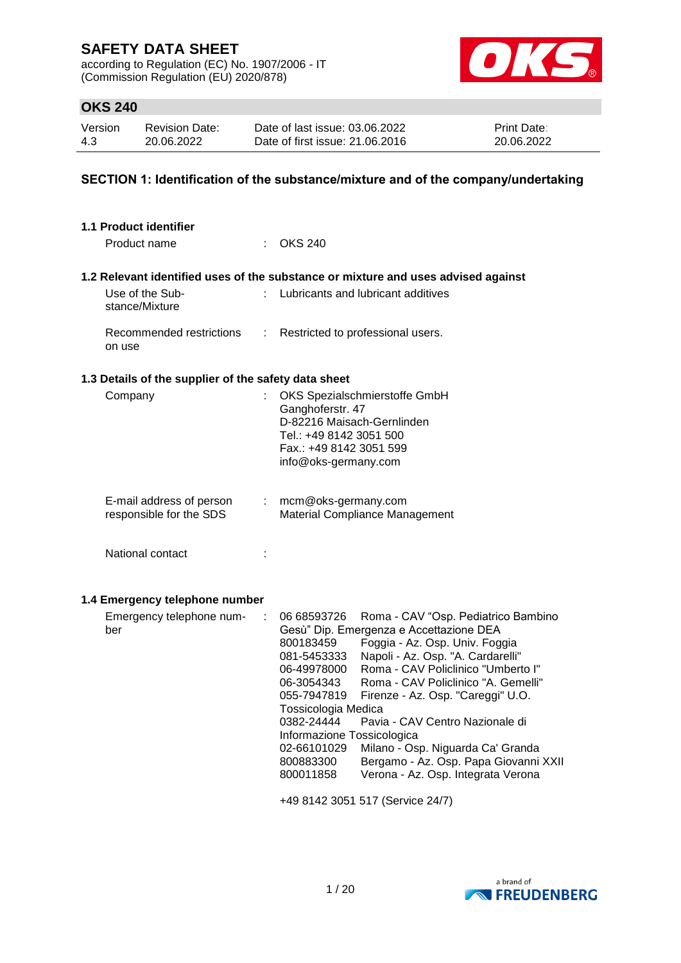according to Regulation (EC) No. 1907/2006 - IT (Commission Regulation (EU) 2020/878)



# **OKS 240**

| Version | <b>Revision Date:</b> | Date of last issue: 03.06.2022  | <b>Print Date:</b> |
|---------|-----------------------|---------------------------------|--------------------|
| 4.3     | 20.06.2022            | Date of first issue: 21,06,2016 | 20.06.2022         |

### **SECTION 1: Identification of the substance/mixture and of the company/undertaking**

| <b>1.1 Product identifier</b>                        |    |                                                                                                                                                                                                                                                                                                                                                                                                                                                                                                                                                                                                                                                                    |
|------------------------------------------------------|----|--------------------------------------------------------------------------------------------------------------------------------------------------------------------------------------------------------------------------------------------------------------------------------------------------------------------------------------------------------------------------------------------------------------------------------------------------------------------------------------------------------------------------------------------------------------------------------------------------------------------------------------------------------------------|
| Product name                                         |    | $\therefore$ OKS 240                                                                                                                                                                                                                                                                                                                                                                                                                                                                                                                                                                                                                                               |
|                                                      |    | 1.2 Relevant identified uses of the substance or mixture and uses advised against                                                                                                                                                                                                                                                                                                                                                                                                                                                                                                                                                                                  |
| Use of the Sub-<br>stance/Mixture                    |    | Lubricants and lubricant additives                                                                                                                                                                                                                                                                                                                                                                                                                                                                                                                                                                                                                                 |
| Recommended restrictions<br>on use                   | t. | Restricted to professional users.                                                                                                                                                                                                                                                                                                                                                                                                                                                                                                                                                                                                                                  |
| 1.3 Details of the supplier of the safety data sheet |    |                                                                                                                                                                                                                                                                                                                                                                                                                                                                                                                                                                                                                                                                    |
| Company                                              |    | OKS Spezialschmierstoffe GmbH<br>Ganghoferstr. 47<br>D-82216 Maisach-Gernlinden<br>Tel.: +49 8142 3051 500<br>Fax.: +49 8142 3051 599<br>info@oks-germany.com                                                                                                                                                                                                                                                                                                                                                                                                                                                                                                      |
| E-mail address of person<br>responsible for the SDS  |    | $:$ mcm@oks-germany.com<br><b>Material Compliance Management</b>                                                                                                                                                                                                                                                                                                                                                                                                                                                                                                                                                                                                   |
| National contact                                     |    |                                                                                                                                                                                                                                                                                                                                                                                                                                                                                                                                                                                                                                                                    |
| 1.4 Emergency telephone number                       |    |                                                                                                                                                                                                                                                                                                                                                                                                                                                                                                                                                                                                                                                                    |
| Emergency telephone num-<br>ber                      |    | Roma - CAV "Osp. Pediatrico Bambino<br>06 68593726<br>Gesù" Dip. Emergenza e Accettazione DEA<br>Foggia - Az. Osp. Univ. Foggia<br>800183459<br>Napoli - Az. Osp. "A. Cardarelli"<br>081-5453333<br>Roma - CAV Policlinico "Umberto I"<br>06-49978000<br>Roma - CAV Policlinico "A. Gemelli"<br>06-3054343<br>055-7947819<br>Firenze - Az. Osp. "Careggi" U.O.<br>Tossicologia Medica<br>0382-24444 Pavia - CAV Centro Nazionale di<br>Informazione Tossicologica<br>02-66101029<br>Milano - Osp. Niguarda Ca' Granda<br>800883300<br>Bergamo - Az. Osp. Papa Giovanni XXII<br>800011858<br>Verona - Az. Osp. Integrata Verona<br>+49 8142 3051 517 (Service 24/7) |
|                                                      |    |                                                                                                                                                                                                                                                                                                                                                                                                                                                                                                                                                                                                                                                                    |

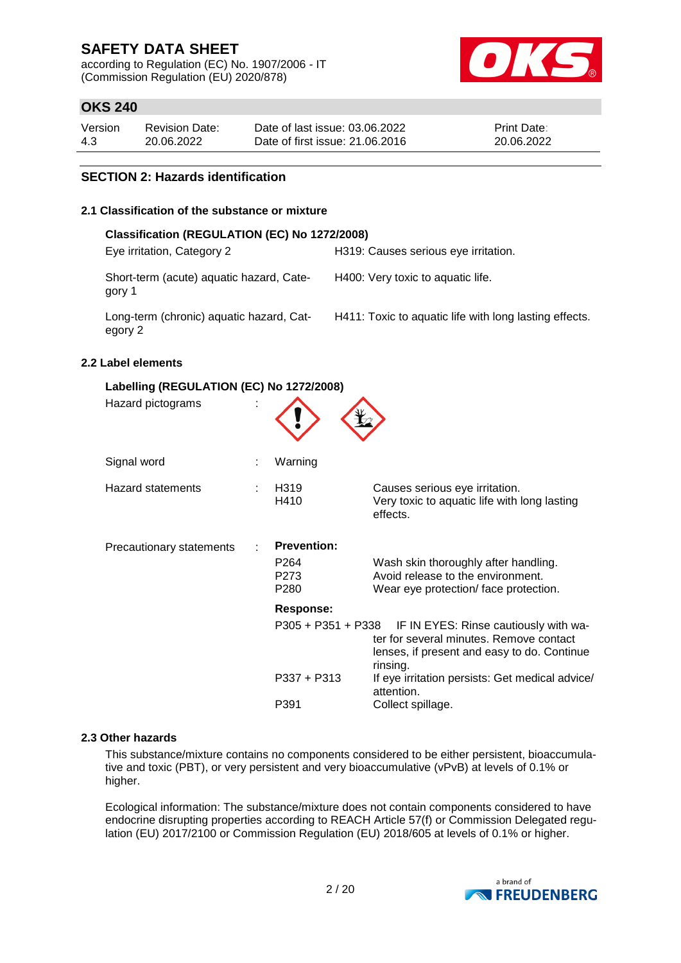according to Regulation (EC) No. 1907/2006 - IT (Commission Regulation (EU) 2020/878)



# **OKS 240**

| Version | <b>Revision Date:</b> | Date of last issue: 03.06.2022  | <b>Print Date:</b> |
|---------|-----------------------|---------------------------------|--------------------|
| 4.3     | 20.06.2022            | Date of first issue: 21,06,2016 | 20.06.2022         |

### **SECTION 2: Hazards identification**

### **2.1 Classification of the substance or mixture**

| H319: Causes serious eye irritation.                   |
|--------------------------------------------------------|
| H400: Very toxic to aquatic life.                      |
| H411: Toxic to aquatic life with long lasting effects. |
|                                                        |

### **2.2 Label elements**

| Labelling (REGULATION (EC) No 1272/2008) |  |                                                        |                                                                                                                                             |  |  |  |
|------------------------------------------|--|--------------------------------------------------------|---------------------------------------------------------------------------------------------------------------------------------------------|--|--|--|
| Hazard pictograms                        |  |                                                        |                                                                                                                                             |  |  |  |
| Signal word                              |  | Warning                                                |                                                                                                                                             |  |  |  |
| Hazard statements                        |  | H <sub>3</sub> 19<br>H410                              | Causes serious eye irritation.<br>Very toxic to aquatic life with long lasting<br>effects.                                                  |  |  |  |
| <b>Precautionary statements</b>          |  | <b>Prevention:</b><br>P <sub>264</sub><br>P273<br>P280 | Wash skin thoroughly after handling.<br>Avoid release to the environment.<br>Wear eye protection/face protection.                           |  |  |  |
|                                          |  | <b>Response:</b>                                       |                                                                                                                                             |  |  |  |
|                                          |  | $P305 + P351 + P338$                                   | IF IN EYES: Rinse cautiously with wa-<br>ter for several minutes. Remove contact<br>lenses, if present and easy to do. Continue<br>rinsing. |  |  |  |
|                                          |  | $P337 + P313$                                          | If eye irritation persists: Get medical advice/<br>attention.                                                                               |  |  |  |
|                                          |  | P391                                                   | Collect spillage.                                                                                                                           |  |  |  |

#### **2.3 Other hazards**

This substance/mixture contains no components considered to be either persistent, bioaccumulative and toxic (PBT), or very persistent and very bioaccumulative (vPvB) at levels of 0.1% or higher.

Ecological information: The substance/mixture does not contain components considered to have endocrine disrupting properties according to REACH Article 57(f) or Commission Delegated regulation (EU) 2017/2100 or Commission Regulation (EU) 2018/605 at levels of 0.1% or higher.

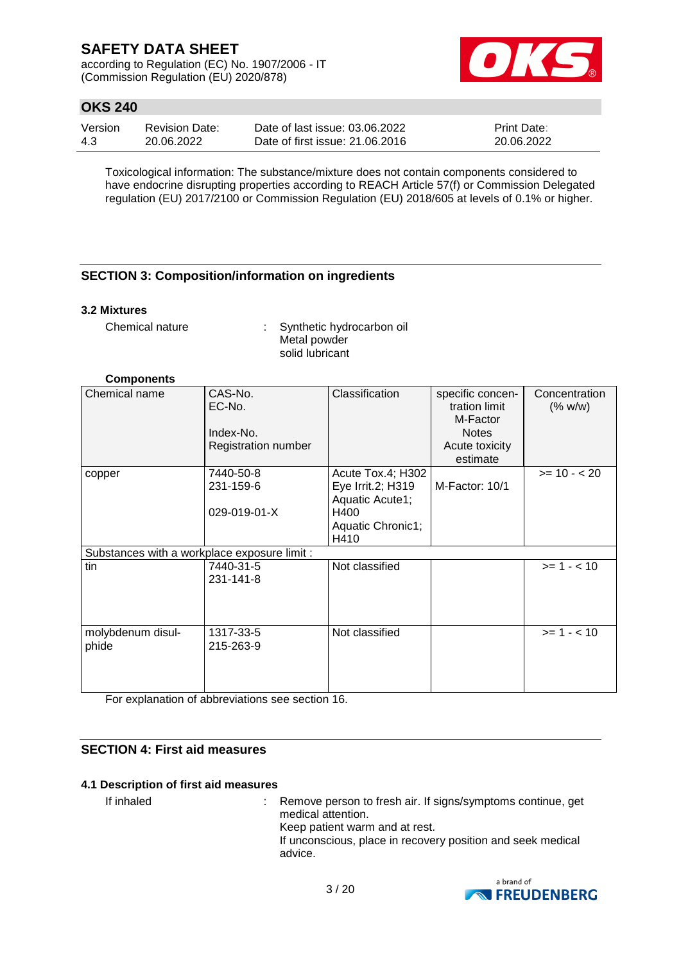according to Regulation (EC) No. 1907/2006 - IT (Commission Regulation (EU) 2020/878)



# **OKS 240**

| Version | <b>Revision Date:</b> | Date of last issue: 03.06.2022  | <b>Print Date:</b> |
|---------|-----------------------|---------------------------------|--------------------|
| -4.3    | 20.06.2022            | Date of first issue: 21,06,2016 | 20.06.2022         |

Toxicological information: The substance/mixture does not contain components considered to have endocrine disrupting properties according to REACH Article 57(f) or Commission Delegated regulation (EU) 2017/2100 or Commission Regulation (EU) 2018/605 at levels of 0.1% or higher.

## **SECTION 3: Composition/information on ingredients**

### **3.2 Mixtures**

Chemical nature : Synthetic hydrocarbon oil Metal powder solid lubricant

### **Components**

| Chemical name                                | CAS-No.<br>EC-No.<br>Index-No.<br>Registration number | Classification                                                                                 | specific concen-<br>tration limit<br>M-Factor<br><b>Notes</b><br>Acute toxicity<br>estimate | Concentration<br>(% w/w) |
|----------------------------------------------|-------------------------------------------------------|------------------------------------------------------------------------------------------------|---------------------------------------------------------------------------------------------|--------------------------|
| copper                                       | 7440-50-8<br>231-159-6<br>029-019-01-X                | Acute Tox.4; H302<br>Eye Irrit.2; H319<br>Aquatic Acute1;<br>H400<br>Aquatic Chronic1;<br>H410 | M-Factor: 10/1                                                                              | $>= 10 - 20$             |
| Substances with a workplace exposure limit : |                                                       |                                                                                                |                                                                                             |                          |
| tin                                          | 7440-31-5<br>231-141-8                                | Not classified                                                                                 |                                                                                             | $>= 1 - < 10$            |
| molybdenum disul-<br>phide                   | 1317-33-5<br>215-263-9                                | Not classified                                                                                 |                                                                                             | $>= 1 - < 10$            |

For explanation of abbreviations see section 16.

## **SECTION 4: First aid measures**

#### **4.1 Description of first aid measures**

If inhaled : Remove person to fresh air. If signs/symptoms continue, get medical attention. Keep patient warm and at rest. If unconscious, place in recovery position and seek medical advice.

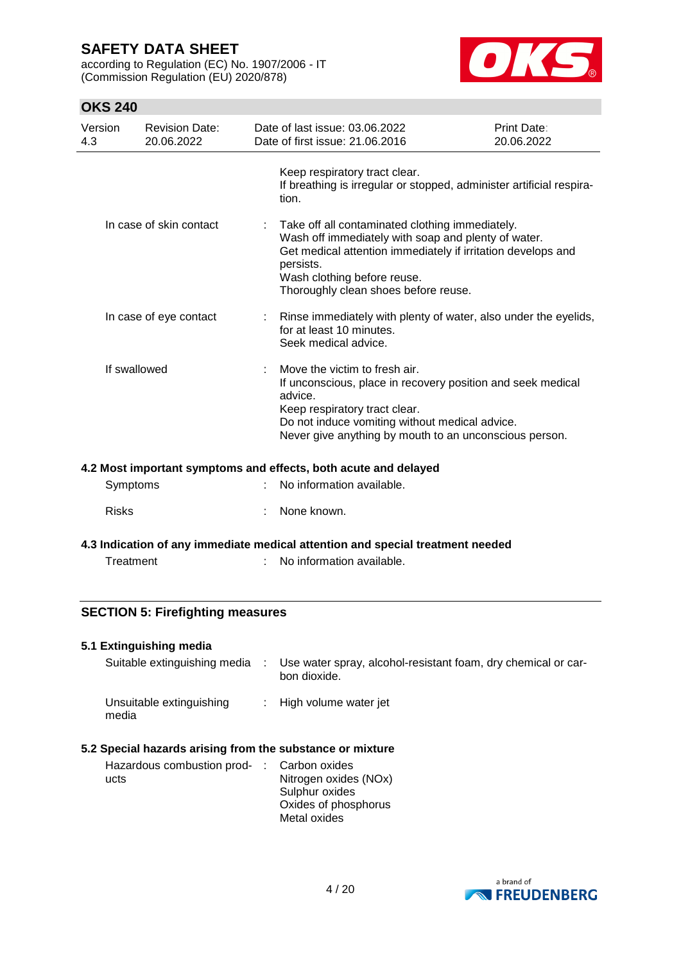according to Regulation (EC) No. 1907/2006 - IT (Commission Regulation (EU) 2020/878)



# **OKS 240**

| Version<br>4.3 | <b>Revision Date:</b><br>20.06.2022 | Date of last issue: 03.06.2022<br>Date of first issue: 21.06.2016                                                                                                                                                                                            | <b>Print Date:</b><br>20.06.2022 |
|----------------|-------------------------------------|--------------------------------------------------------------------------------------------------------------------------------------------------------------------------------------------------------------------------------------------------------------|----------------------------------|
|                |                                     | Keep respiratory tract clear.<br>If breathing is irregular or stopped, administer artificial respira-<br>tion.                                                                                                                                               |                                  |
|                | In case of skin contact             | : Take off all contaminated clothing immediately.<br>Wash off immediately with soap and plenty of water.<br>Get medical attention immediately if irritation develops and<br>persists.<br>Wash clothing before reuse.<br>Thoroughly clean shoes before reuse. |                                  |
|                | In case of eye contact              | : Rinse immediately with plenty of water, also under the eyelids,<br>for at least 10 minutes.<br>Seek medical advice.                                                                                                                                        |                                  |
| If swallowed   |                                     | Move the victim to fresh air.<br>If unconscious, place in recovery position and seek medical<br>advice.<br>Keep respiratory tract clear.<br>Do not induce vomiting without medical advice.<br>Never give anything by mouth to an unconscious person.         |                                  |

#### **4.2 Most important symptoms and effects, both acute and delayed**

| Symptoms     | No information available. |
|--------------|---------------------------|
| <b>Risks</b> | : None known.             |

**4.3 Indication of any immediate medical attention and special treatment needed**

Treatment : No information available.

### **SECTION 5: Firefighting measures**

#### **5.1 Extinguishing media**

| Suitable extinguishing media      | Use water spray, alcohol-resistant foam, dry chemical or car-<br>bon dioxide. |
|-----------------------------------|-------------------------------------------------------------------------------|
| Unsuitable extinguishing<br>media | : High volume water jet                                                       |

### **5.2 Special hazards arising from the substance or mixture**

| Hazardous combustion prod- : Carbon oxides |                       |
|--------------------------------------------|-----------------------|
| ucts                                       | Nitrogen oxides (NOx) |
|                                            | Sulphur oxides        |
|                                            | Oxides of phosphorus  |
|                                            | Metal oxides          |

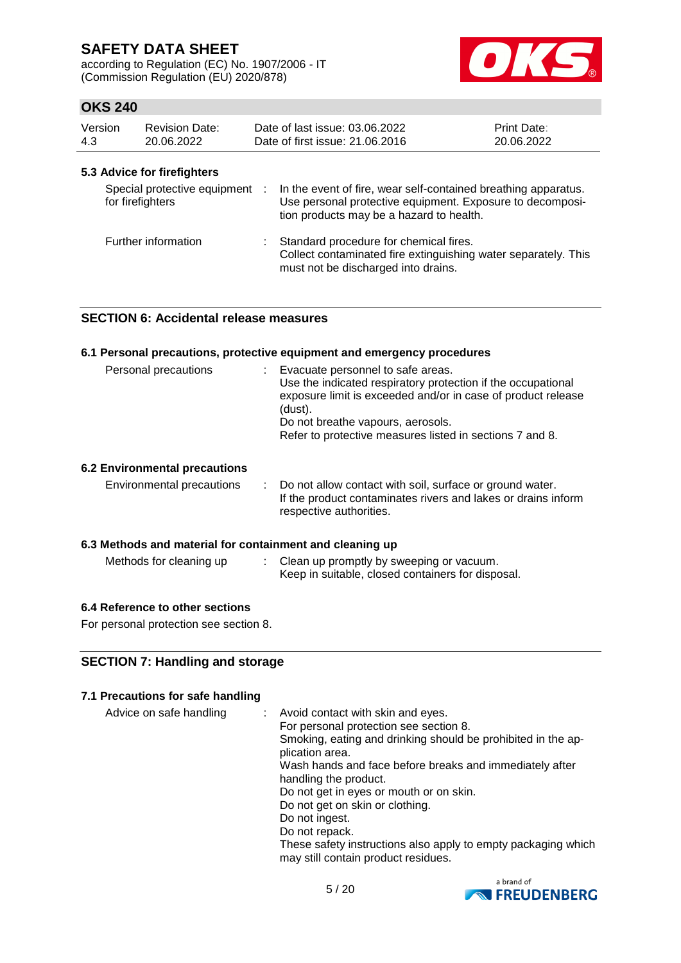according to Regulation (EC) No. 1907/2006 - IT (Commission Regulation (EU) 2020/878)



## **OKS 240**

| Version<br>4.3 | <b>Revision Date:</b><br>20.06.2022                | Date of last issue: 03.06.2022<br>Date of first issue: 21.06.2016                                                                                                       | <b>Print Date:</b><br>20.06.2022 |
|----------------|----------------------------------------------------|-------------------------------------------------------------------------------------------------------------------------------------------------------------------------|----------------------------------|
|                | 5.3 Advice for firefighters                        |                                                                                                                                                                         |                                  |
|                | Special protective equipment :<br>for firefighters | In the event of fire, wear self-contained breathing apparatus.<br>Use personal protective equipment. Exposure to decomposi-<br>tion products may be a hazard to health. |                                  |
|                | Further information                                | : Standard procedure for chemical fires.<br>Collect contaminated fire extinguishing water separately. This<br>must not be discharged into drains.                       |                                  |

## **SECTION 6: Accidental release measures**

#### **6.1 Personal precautions, protective equipment and emergency procedures**

| Personal precautions | Evacuate personnel to safe areas.<br>Use the indicated respiratory protection if the occupational<br>exposure limit is exceeded and/or in case of product release<br>(dust).<br>Do not breathe vapours, aerosols.<br>Refer to protective measures listed in sections 7 and 8. |
|----------------------|-------------------------------------------------------------------------------------------------------------------------------------------------------------------------------------------------------------------------------------------------------------------------------|
|                      |                                                                                                                                                                                                                                                                               |

### **6.2 Environmental precautions**

| Environmental precautions |  | : Do not allow contact with soil, surface or ground water.<br>If the product contaminates rivers and lakes or drains inform<br>respective authorities. |
|---------------------------|--|--------------------------------------------------------------------------------------------------------------------------------------------------------|
|---------------------------|--|--------------------------------------------------------------------------------------------------------------------------------------------------------|

### **6.3 Methods and material for containment and cleaning up**

| Methods for cleaning up | Clean up promptly by sweeping or vacuum.          |
|-------------------------|---------------------------------------------------|
|                         | Keep in suitable, closed containers for disposal. |

### **6.4 Reference to other sections**

For personal protection see section 8.

### **SECTION 7: Handling and storage**

### **7.1 Precautions for safe handling**

| Advice on safe handling | Avoid contact with skin and eyes.                                                                    |
|-------------------------|------------------------------------------------------------------------------------------------------|
|                         | For personal protection see section 8.                                                               |
|                         | Smoking, eating and drinking should be prohibited in the ap-<br>plication area.                      |
|                         | Wash hands and face before breaks and immediately after                                              |
|                         | handling the product.                                                                                |
|                         | Do not get in eyes or mouth or on skin.                                                              |
|                         | Do not get on skin or clothing.                                                                      |
|                         | Do not ingest.                                                                                       |
|                         | Do not repack.                                                                                       |
|                         | These safety instructions also apply to empty packaging which<br>may still contain product residues. |
|                         |                                                                                                      |

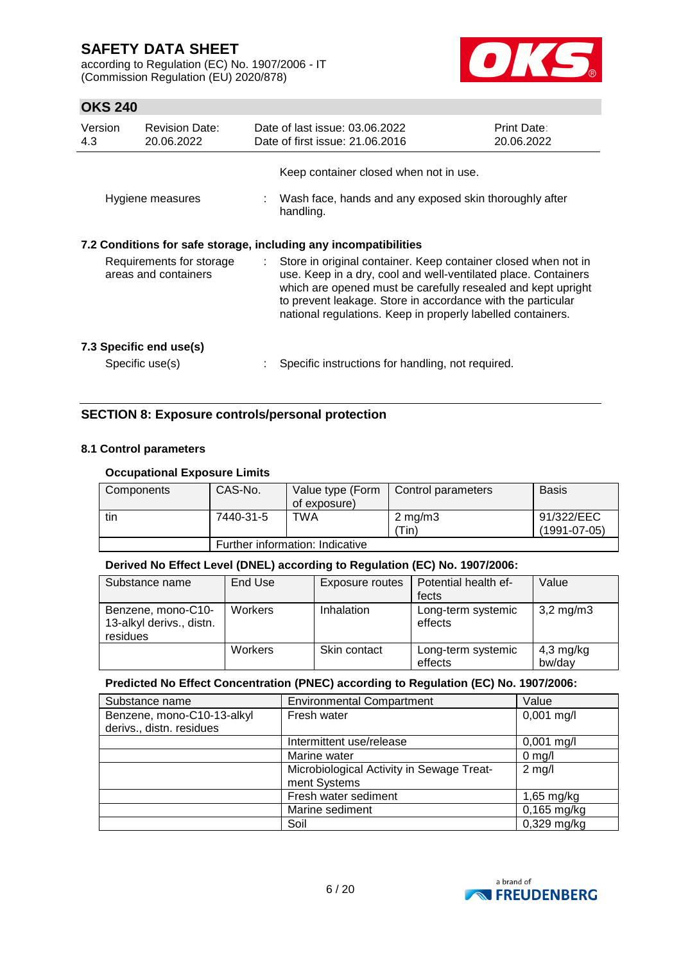according to Regulation (EC) No. 1907/2006 - IT (Commission Regulation (EU) 2020/878)



# **OKS 240**

| Version<br>4.3                                                                                                             | <b>Revision Date:</b><br>20.06.2022        |  | Date of last issue: 03.06.2022<br>Date of first issue: 21.06.2016                                                                                                                                | Print Date:<br>20.06.2022 |
|----------------------------------------------------------------------------------------------------------------------------|--------------------------------------------|--|--------------------------------------------------------------------------------------------------------------------------------------------------------------------------------------------------|---------------------------|
|                                                                                                                            | Hygiene measures                           |  | Keep container closed when not in use.<br>: Wash face, hands and any exposed skin thoroughly after<br>handling.                                                                                  |                           |
| 7.2 Conditions for safe storage, including any incompatibilities<br>Requirements for storage<br>÷.<br>areas and containers |                                            |  | Store in original container. Keep container closed when not in<br>use. Keep in a dry, cool and well-ventilated place. Containers<br>which are opened must be carefully resealed and kept upright |                           |
|                                                                                                                            |                                            |  | to prevent leakage. Store in accordance with the particular<br>national regulations. Keep in properly labelled containers.                                                                       |                           |
|                                                                                                                            | 7.3 Specific end use(s)<br>Specific use(s) |  | Specific instructions for handling, not required.                                                                                                                                                |                           |

## **SECTION 8: Exposure controls/personal protection**

### **8.1 Control parameters**

### **Occupational Exposure Limits**

| Components | CAS-No.                         | Value type (Form<br>of exposure) | Control parameters        | <b>Basis</b>                 |  |
|------------|---------------------------------|----------------------------------|---------------------------|------------------------------|--|
| tin        | 7440-31-5                       | TWA                              | $2 \text{ mg/m}$<br>'Tin) | 91/322/EEC<br>$(1991-07-05)$ |  |
|            | Further information: Indicative |                                  |                           |                              |  |

#### **Derived No Effect Level (DNEL) according to Regulation (EC) No. 1907/2006:**

| Substance name                                             | End Use | Exposure routes   | Potential health ef-<br>fects | Value                 |
|------------------------------------------------------------|---------|-------------------|-------------------------------|-----------------------|
| Benzene, mono-C10-<br>13-alkyl derivs., distn.<br>residues | Workers | <b>Inhalation</b> | Long-term systemic<br>effects | $3,2 \,\mathrm{mg/m}$ |
|                                                            | Workers | Skin contact      | Long-term systemic<br>effects | 4,3 mg/kg<br>bw/day   |

#### **Predicted No Effect Concentration (PNEC) according to Regulation (EC) No. 1907/2006:**

| Substance name             | <b>Environmental Compartment</b>          | Value         |
|----------------------------|-------------------------------------------|---------------|
| Benzene, mono-C10-13-alkyl | Fresh water                               | $0,001$ mg/l  |
| derivs., distn. residues   |                                           |               |
|                            | Intermittent use/release                  | $0,001$ mg/l  |
|                            | Marine water                              | $0$ mg/l      |
|                            | Microbiological Activity in Sewage Treat- | $2$ mg/l      |
|                            | ment Systems                              |               |
|                            | Fresh water sediment                      | $1,65$ mg/kg  |
|                            | Marine sediment                           | $0,165$ mg/kg |
|                            | Soil                                      | $0,329$ mg/kg |

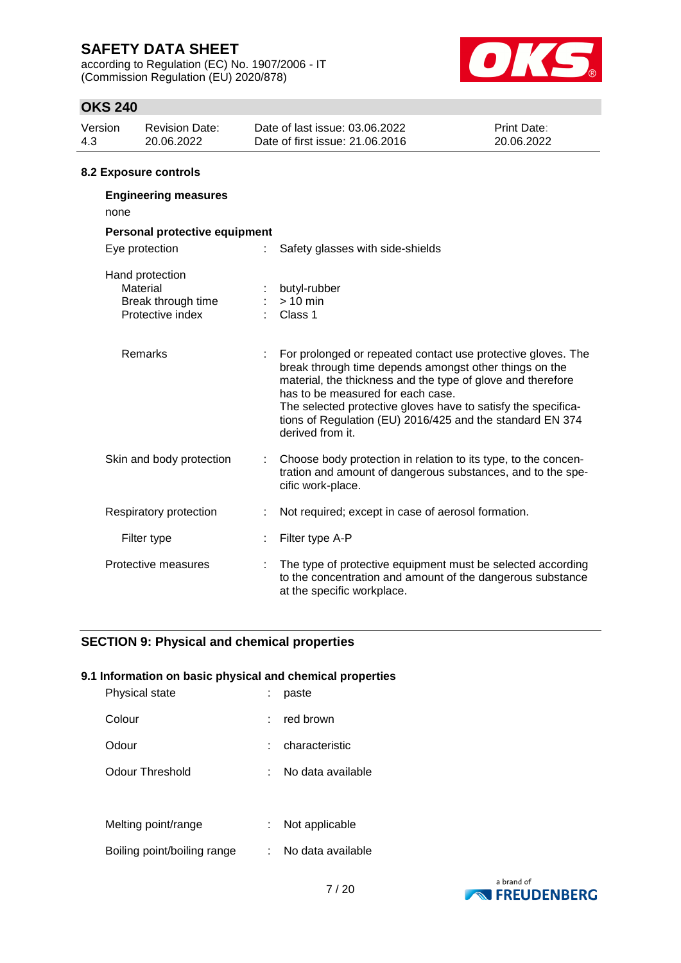according to Regulation (EC) No. 1907/2006 - IT (Commission Regulation (EU) 2020/878)



# **OKS 240**

| Version<br>4.3 | <b>Revision Date:</b><br>20.06.2022                                   |  | Date of last issue: 03.06.2022<br>Date of first issue: 21,06,2016                                                                                                                                                                                                                                                                                                            | Print Date:<br>20.06.2022 |  |  |  |  |
|----------------|-----------------------------------------------------------------------|--|------------------------------------------------------------------------------------------------------------------------------------------------------------------------------------------------------------------------------------------------------------------------------------------------------------------------------------------------------------------------------|---------------------------|--|--|--|--|
|                | 8.2 Exposure controls                                                 |  |                                                                                                                                                                                                                                                                                                                                                                              |                           |  |  |  |  |
| none           | <b>Engineering measures</b>                                           |  |                                                                                                                                                                                                                                                                                                                                                                              |                           |  |  |  |  |
|                | Personal protective equipment                                         |  |                                                                                                                                                                                                                                                                                                                                                                              |                           |  |  |  |  |
|                | Eye protection                                                        |  | Safety glasses with side-shields                                                                                                                                                                                                                                                                                                                                             |                           |  |  |  |  |
|                | Hand protection<br>Material<br>Break through time<br>Protective index |  | butyl-rubber<br>$> 10$ min<br>Class 1                                                                                                                                                                                                                                                                                                                                        |                           |  |  |  |  |
|                | Remarks                                                               |  | For prolonged or repeated contact use protective gloves. The<br>break through time depends amongst other things on the<br>material, the thickness and the type of glove and therefore<br>has to be measured for each case.<br>The selected protective gloves have to satisfy the specifica-<br>tions of Regulation (EU) 2016/425 and the standard EN 374<br>derived from it. |                           |  |  |  |  |
|                | Skin and body protection                                              |  | Choose body protection in relation to its type, to the concen-<br>tration and amount of dangerous substances, and to the spe-<br>cific work-place.                                                                                                                                                                                                                           |                           |  |  |  |  |
|                | Respiratory protection                                                |  | Not required; except in case of aerosol formation.                                                                                                                                                                                                                                                                                                                           |                           |  |  |  |  |
|                | Filter type                                                           |  | Filter type A-P                                                                                                                                                                                                                                                                                                                                                              |                           |  |  |  |  |
|                | Protective measures                                                   |  | The type of protective equipment must be selected according                                                                                                                                                                                                                                                                                                                  |                           |  |  |  |  |

at the specific workplace.

to the concentration and amount of the dangerous substance

## **SECTION 9: Physical and chemical properties**

#### **9.1 Information on basic physical and chemical properties**

| Physical state  |    | paste             |
|-----------------|----|-------------------|
| Colour          | t. | red brown         |
| Odour           |    | characteristic    |
| Odour Threshold |    | No data available |
|                 |    |                   |
|                 |    |                   |

| Melting point/range         | Not applicable  |
|-----------------------------|-----------------|
| Dailiag paint/hailiag rongs | Na doto ovojloh |

Boiling point/boiling range : No data available

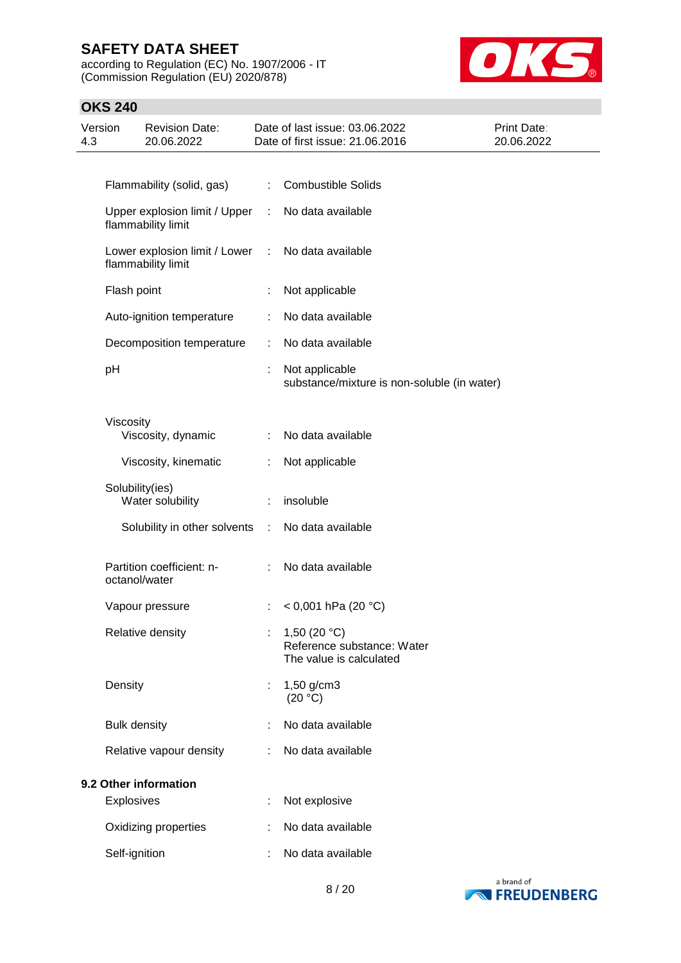according to Regulation (EC) No. 1907/2006 - IT (Commission Regulation (EU) 2020/878)



| 4.3                   | Version             | <b>Revision Date:</b><br>20.06.2022                 |                           | Date of last issue: 03.06.2022<br>Date of first issue: 21.06.2016       | Print Date:<br>20.06.2022 |
|-----------------------|---------------------|-----------------------------------------------------|---------------------------|-------------------------------------------------------------------------|---------------------------|
|                       |                     |                                                     |                           |                                                                         |                           |
|                       |                     | Flammability (solid, gas)                           | $\mathbb{R}^{\mathbb{Z}}$ | <b>Combustible Solids</b>                                               |                           |
|                       |                     | Upper explosion limit / Upper<br>flammability limit | ÷                         | No data available                                                       |                           |
|                       |                     | Lower explosion limit / Lower<br>flammability limit | ÷                         | No data available                                                       |                           |
|                       | Flash point         |                                                     |                           | Not applicable                                                          |                           |
|                       |                     | Auto-ignition temperature                           |                           | No data available                                                       |                           |
|                       |                     | Decomposition temperature                           | ÷                         | No data available                                                       |                           |
|                       | pH                  |                                                     |                           | Not applicable<br>substance/mixture is non-soluble (in water)           |                           |
|                       | Viscosity           | Viscosity, dynamic                                  |                           | No data available                                                       |                           |
|                       |                     | Viscosity, kinematic                                |                           | Not applicable                                                          |                           |
|                       |                     | Solubility(ies)<br>Water solubility                 |                           | insoluble                                                               |                           |
|                       |                     | Solubility in other solvents                        | ÷                         | No data available                                                       |                           |
|                       |                     | Partition coefficient: n-<br>octanol/water          |                           | No data available                                                       |                           |
|                       |                     | Vapour pressure                                     |                           | $<$ 0,001 hPa (20 °C)                                                   |                           |
|                       |                     | Relative density                                    |                           | 1,50 $(20 °C)$<br>Reference substance: Water<br>The value is calculated |                           |
|                       | Density             |                                                     |                           | 1,50 g/cm3<br>(20 °C)                                                   |                           |
|                       | <b>Bulk density</b> |                                                     |                           | No data available                                                       |                           |
|                       |                     | Relative vapour density                             |                           | No data available                                                       |                           |
| 9.2 Other information |                     |                                                     |                           |                                                                         |                           |
|                       | Explosives          |                                                     |                           | Not explosive                                                           |                           |
|                       |                     | Oxidizing properties                                |                           | No data available                                                       |                           |
|                       | Self-ignition       |                                                     |                           | No data available                                                       |                           |

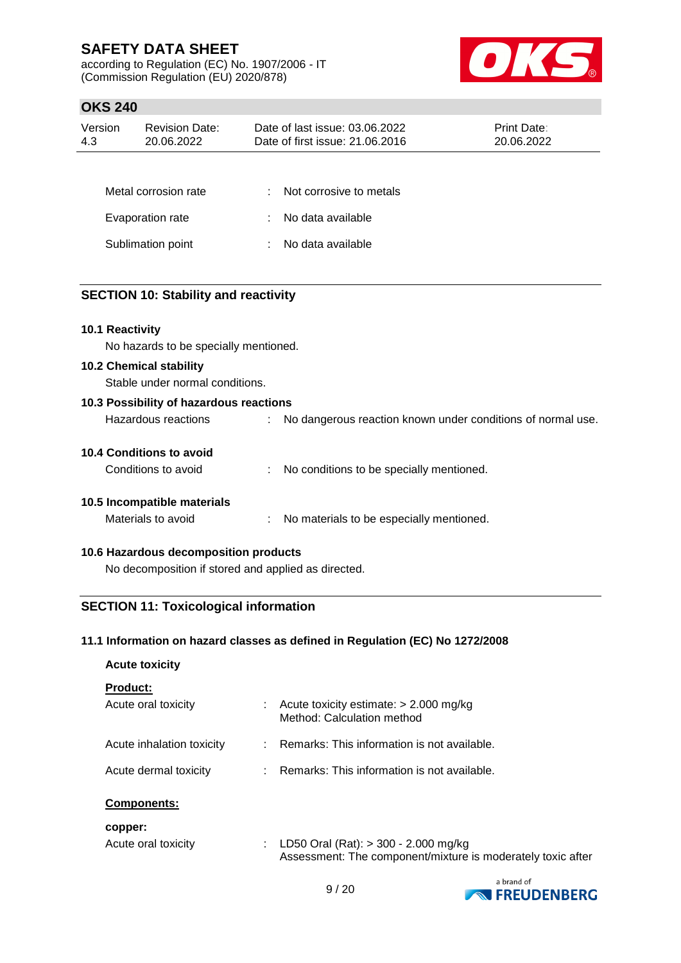according to Regulation (EC) No. 1907/2006 - IT (Commission Regulation (EU) 2020/878)



# **OKS 240**

| Version<br>4.3   | <b>Revision Date:</b><br>20.06.2022 |    | Date of last issue: 03.06.2022<br>Date of first issue: 21.06.2016 | Print Date:<br>20.06.2022 |
|------------------|-------------------------------------|----|-------------------------------------------------------------------|---------------------------|
|                  |                                     |    |                                                                   |                           |
|                  | Metal corrosion rate                | ٠. | Not corrosive to metals                                           |                           |
| Evaporation rate |                                     | ÷  | No data available                                                 |                           |
|                  | Sublimation point                   | ÷  | No data available                                                 |                           |
|                  |                                     |    |                                                                   |                           |

## **SECTION 10: Stability and reactivity**

### **10.1 Reactivity**

No hazards to be specially mentioned.

#### **10.2 Chemical stability**

Stable under normal conditions.

| 10.3 Possibility of hazardous reactions |  |                                                             |  |  |  |  |
|-----------------------------------------|--|-------------------------------------------------------------|--|--|--|--|
| Hazardous reactions                     |  | No dangerous reaction known under conditions of normal use. |  |  |  |  |
| 10.4 Conditions to avoid                |  |                                                             |  |  |  |  |
| Conditions to avoid                     |  | No conditions to be specially mentioned.                    |  |  |  |  |
| 10.5 Incompatible materials             |  |                                                             |  |  |  |  |
| Materials to avoid                      |  | No materials to be especially mentioned.                    |  |  |  |  |

### **10.6 Hazardous decomposition products**

No decomposition if stored and applied as directed.

## **SECTION 11: Toxicological information**

### **11.1 Information on hazard classes as defined in Regulation (EC) No 1272/2008**

|    | Acute toxicity estimate: $> 2.000$ mg/kg<br>Method: Calculation method                              |
|----|-----------------------------------------------------------------------------------------------------|
|    | : Remarks: This information is not available.                                                       |
|    | $\therefore$ Remarks: This information is not available.                                            |
|    |                                                                                                     |
| t. | LD50 Oral (Rat): > 300 - 2.000 mg/kg<br>Assessment: The component/mixture is moderately toxic after |
|    |                                                                                                     |

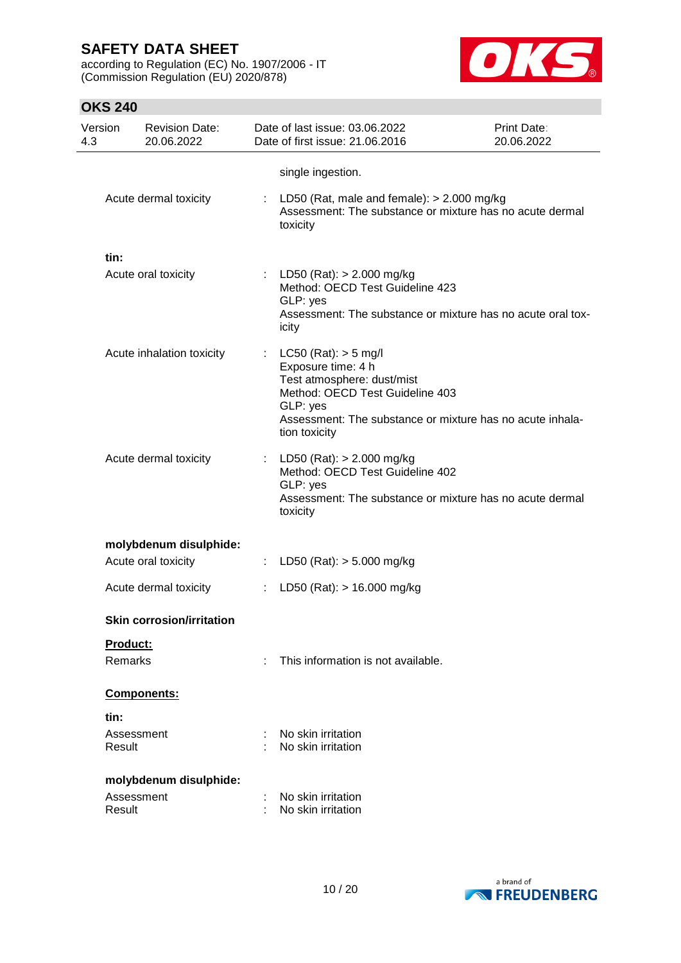according to Regulation (EC) No. 1907/2006 - IT (Commission Regulation (EU) 2020/878)



| Version<br>4.3 | <b>Revision Date:</b><br>20.06.2022 |                            | Date of last issue: 03.06.2022<br>Date of first issue: 21.06.2016                                                                                                                                       | Print Date:<br>20.06.2022 |
|----------------|-------------------------------------|----------------------------|---------------------------------------------------------------------------------------------------------------------------------------------------------------------------------------------------------|---------------------------|
|                |                                     |                            | single ingestion.                                                                                                                                                                                       |                           |
|                | Acute dermal toxicity               |                            | LD50 (Rat, male and female): $> 2.000$ mg/kg<br>Assessment: The substance or mixture has no acute dermal<br>toxicity                                                                                    |                           |
| tin:           |                                     |                            |                                                                                                                                                                                                         |                           |
|                | Acute oral toxicity                 |                            | : LD50 (Rat): $> 2.000$ mg/kg<br>Method: OECD Test Guideline 423<br>GLP: yes<br>Assessment: The substance or mixture has no acute oral tox-<br>icity                                                    |                           |
|                | Acute inhalation toxicity           | $\mathcal{L}^{\text{max}}$ | LC50 (Rat): $>$ 5 mg/l<br>Exposure time: 4 h<br>Test atmosphere: dust/mist<br>Method: OECD Test Guideline 403<br>GLP: yes<br>Assessment: The substance or mixture has no acute inhala-<br>tion toxicity |                           |
|                | Acute dermal toxicity               | ÷                          | LD50 (Rat): $> 2.000$ mg/kg<br>Method: OECD Test Guideline 402<br>GLP: yes<br>Assessment: The substance or mixture has no acute dermal<br>toxicity                                                      |                           |
|                | molybdenum disulphide:              |                            |                                                                                                                                                                                                         |                           |
|                | Acute oral toxicity                 |                            | LD50 (Rat): $> 5.000$ mg/kg                                                                                                                                                                             |                           |
|                | Acute dermal toxicity               | ÷                          | LD50 (Rat): > 16.000 mg/kg                                                                                                                                                                              |                           |
|                | <b>Skin corrosion/irritation</b>    |                            |                                                                                                                                                                                                         |                           |
|                | Product:                            |                            |                                                                                                                                                                                                         |                           |
|                | <b>Remarks</b>                      | ÷                          | This information is not available.                                                                                                                                                                      |                           |
|                | Components:                         |                            |                                                                                                                                                                                                         |                           |
| tin:           |                                     |                            |                                                                                                                                                                                                         |                           |
|                | Assessment<br>Result                |                            | No skin irritation<br>No skin irritation                                                                                                                                                                |                           |
|                | molybdenum disulphide:              |                            |                                                                                                                                                                                                         |                           |
|                | Assessment<br>Result                |                            | No skin irritation<br>No skin irritation                                                                                                                                                                |                           |

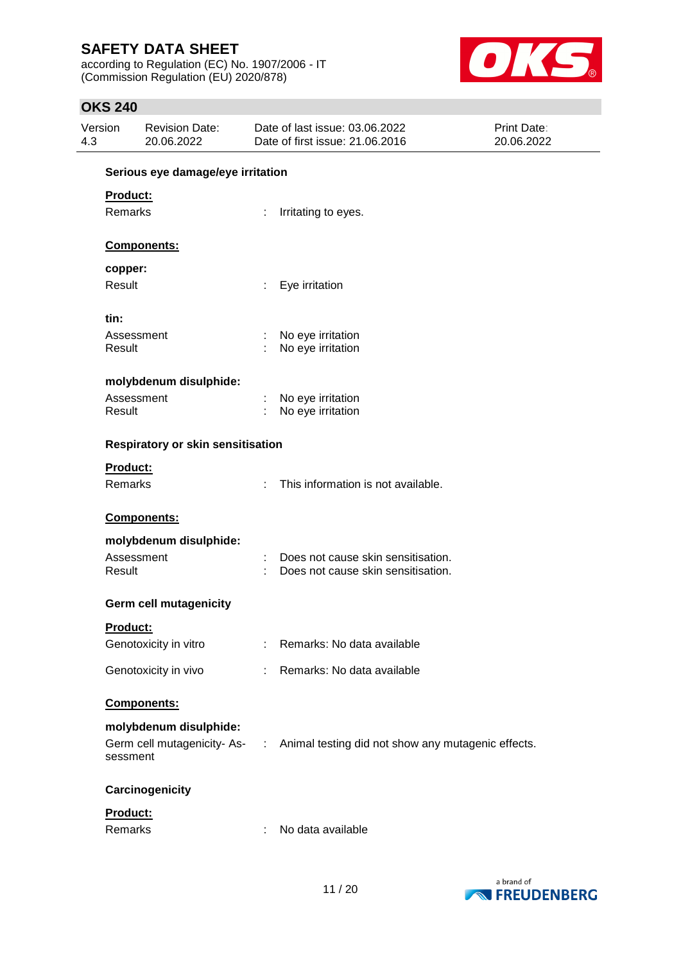according to Regulation (EC) No. 1907/2006 - IT (Commission Regulation (EU) 2020/878)



| Version<br>4.3  | <b>Revision Date:</b><br>20.06.2022 |    | Date of last issue: 03.06.2022<br>Date of first issue: 21.06.2016               | Print Date:<br>20.06.2022 |  |  |  |  |  |
|-----------------|-------------------------------------|----|---------------------------------------------------------------------------------|---------------------------|--|--|--|--|--|
|                 | Serious eye damage/eye irritation   |    |                                                                                 |                           |  |  |  |  |  |
| Product:        |                                     |    |                                                                                 |                           |  |  |  |  |  |
| Remarks         |                                     |    | Irritating to eyes.                                                             |                           |  |  |  |  |  |
|                 | <b>Components:</b>                  |    |                                                                                 |                           |  |  |  |  |  |
| copper:         |                                     |    |                                                                                 |                           |  |  |  |  |  |
| Result          |                                     | t. | Eye irritation                                                                  |                           |  |  |  |  |  |
| tin:            |                                     |    |                                                                                 |                           |  |  |  |  |  |
|                 | Assessment                          |    | No eye irritation                                                               |                           |  |  |  |  |  |
| Result          |                                     |    | No eye irritation                                                               |                           |  |  |  |  |  |
|                 | molybdenum disulphide:              |    |                                                                                 |                           |  |  |  |  |  |
|                 | Assessment                          |    | No eye irritation                                                               |                           |  |  |  |  |  |
| Result          |                                     |    | No eye irritation                                                               |                           |  |  |  |  |  |
|                 | Respiratory or skin sensitisation   |    |                                                                                 |                           |  |  |  |  |  |
| Product:        |                                     |    |                                                                                 |                           |  |  |  |  |  |
|                 | Remarks                             | ÷. | This information is not available.                                              |                           |  |  |  |  |  |
|                 | <b>Components:</b>                  |    |                                                                                 |                           |  |  |  |  |  |
|                 | molybdenum disulphide:              |    |                                                                                 |                           |  |  |  |  |  |
|                 | Assessment                          |    | Does not cause skin sensitisation.                                              |                           |  |  |  |  |  |
| Result          |                                     |    | Does not cause skin sensitisation.                                              |                           |  |  |  |  |  |
|                 | <b>Germ cell mutagenicity</b>       |    |                                                                                 |                           |  |  |  |  |  |
| <b>Product:</b> |                                     |    |                                                                                 |                           |  |  |  |  |  |
|                 | Genotoxicity in vitro               |    | Remarks: No data available                                                      |                           |  |  |  |  |  |
|                 | Genotoxicity in vivo                | ÷. | Remarks: No data available                                                      |                           |  |  |  |  |  |
|                 | Components:                         |    |                                                                                 |                           |  |  |  |  |  |
|                 | molybdenum disulphide:              |    |                                                                                 |                           |  |  |  |  |  |
|                 | sessment                            |    | Germ cell mutagenicity-As- : Animal testing did not show any mutagenic effects. |                           |  |  |  |  |  |
|                 | Carcinogenicity                     |    |                                                                                 |                           |  |  |  |  |  |
| Product:        |                                     |    |                                                                                 |                           |  |  |  |  |  |
| Remarks         |                                     |    | No data available                                                               |                           |  |  |  |  |  |
|                 |                                     |    |                                                                                 |                           |  |  |  |  |  |

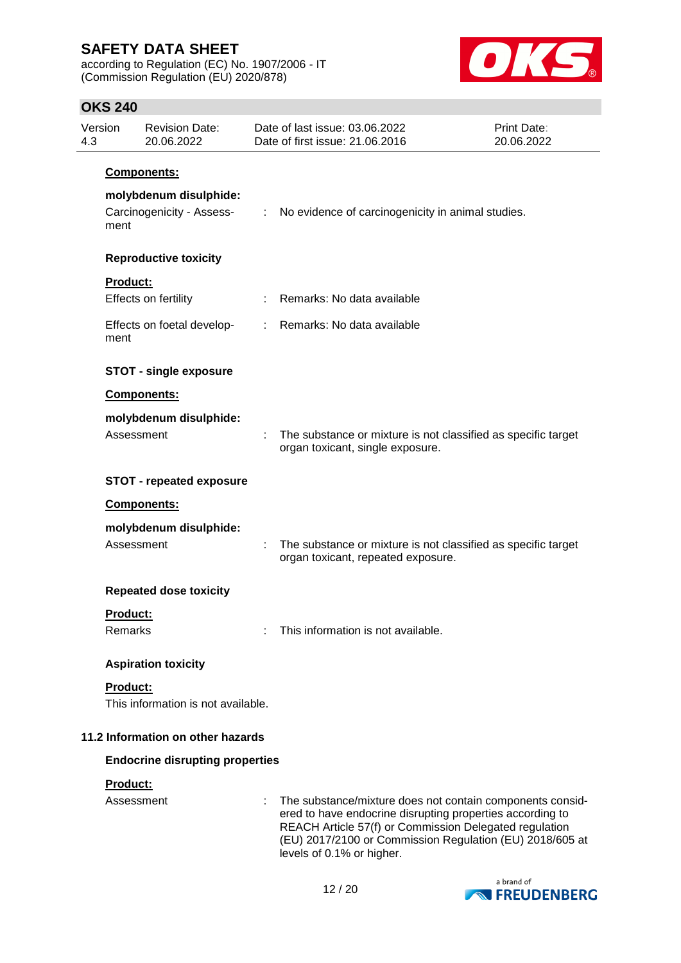according to Regulation (EC) No. 1907/2006 - IT (Commission Regulation (EU) 2020/878)



## **OKS 240**

| 4.3                               | Version    | <b>Revision Date:</b><br>20.06.2022                 |                             | Date of last issue: 03.06.2022<br>Date of first issue: 21.06.2016                                                                                                                                                                            | <b>Print Date:</b><br>20.06.2022 |
|-----------------------------------|------------|-----------------------------------------------------|-----------------------------|----------------------------------------------------------------------------------------------------------------------------------------------------------------------------------------------------------------------------------------------|----------------------------------|
|                                   |            | Components:                                         |                             |                                                                                                                                                                                                                                              |                                  |
|                                   | ment       | molybdenum disulphide:<br>Carcinogenicity - Assess- | $\mathcal{I}^{\mathcal{I}}$ | No evidence of carcinogenicity in animal studies.                                                                                                                                                                                            |                                  |
|                                   |            | <b>Reproductive toxicity</b>                        |                             |                                                                                                                                                                                                                                              |                                  |
|                                   | Product:   | Effects on fertility                                |                             | Remarks: No data available                                                                                                                                                                                                                   |                                  |
|                                   | ment       | Effects on foetal develop-                          | t.                          | Remarks: No data available                                                                                                                                                                                                                   |                                  |
|                                   |            |                                                     |                             |                                                                                                                                                                                                                                              |                                  |
|                                   |            | <b>STOT - single exposure</b>                       |                             |                                                                                                                                                                                                                                              |                                  |
|                                   |            | <b>Components:</b>                                  |                             |                                                                                                                                                                                                                                              |                                  |
|                                   | Assessment | molybdenum disulphide:                              |                             | The substance or mixture is not classified as specific target<br>organ toxicant, single exposure.                                                                                                                                            |                                  |
|                                   |            | <b>STOT - repeated exposure</b>                     |                             |                                                                                                                                                                                                                                              |                                  |
|                                   |            | Components:                                         |                             |                                                                                                                                                                                                                                              |                                  |
|                                   | Assessment | molybdenum disulphide:                              |                             | The substance or mixture is not classified as specific target<br>organ toxicant, repeated exposure.                                                                                                                                          |                                  |
|                                   |            | <b>Repeated dose toxicity</b>                       |                             |                                                                                                                                                                                                                                              |                                  |
|                                   | Product:   |                                                     |                             |                                                                                                                                                                                                                                              |                                  |
|                                   | Remarks    |                                                     |                             | This information is not available.                                                                                                                                                                                                           |                                  |
|                                   |            | <b>Aspiration toxicity</b>                          |                             |                                                                                                                                                                                                                                              |                                  |
|                                   | Product:   |                                                     |                             |                                                                                                                                                                                                                                              |                                  |
|                                   |            | This information is not available.                  |                             |                                                                                                                                                                                                                                              |                                  |
| 11.2 Information on other hazards |            |                                                     |                             |                                                                                                                                                                                                                                              |                                  |
|                                   |            | <b>Endocrine disrupting properties</b>              |                             |                                                                                                                                                                                                                                              |                                  |
|                                   | Product:   |                                                     |                             |                                                                                                                                                                                                                                              |                                  |
|                                   | Assessment |                                                     |                             | The substance/mixture does not contain components consid-<br>ered to have endocrine disrupting properties according to<br>REACH Article 57(f) or Commission Delegated regulation<br>(EU) 2017/2100 or Commission Regulation (EU) 2018/605 at |                                  |



levels of 0.1% or higher.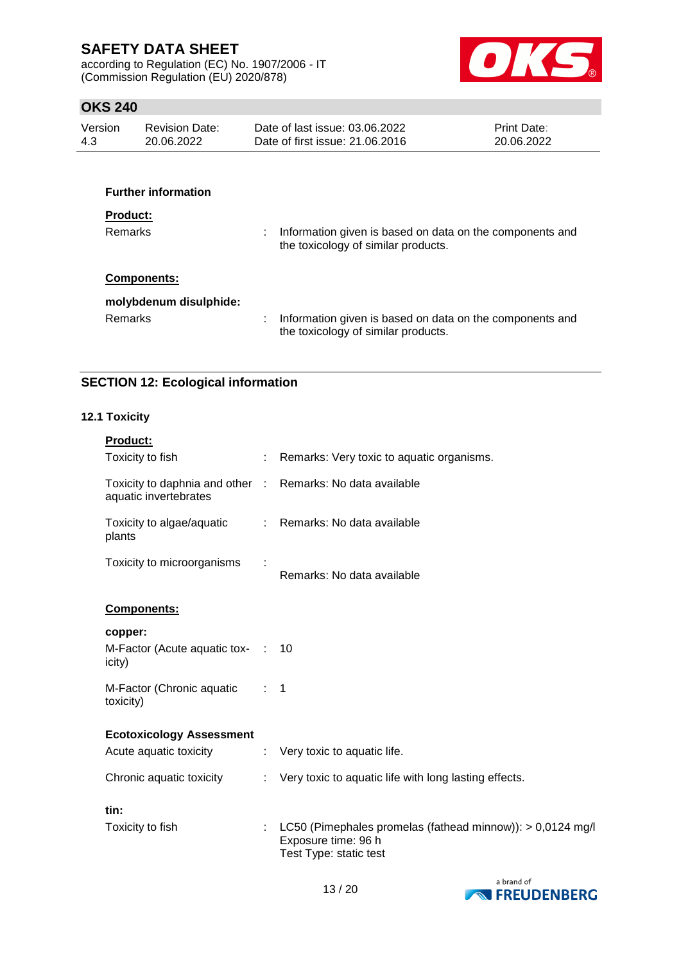according to Regulation (EC) No. 1907/2006 - IT (Commission Regulation (EU) 2020/878)



## **OKS 240**

| Version | <b>Revision Date:</b> | Date of last issue: 03.06.2022  | <b>Print Date:</b> |
|---------|-----------------------|---------------------------------|--------------------|
| 4.3     | 20.06.2022            | Date of first issue: 21,06,2016 | 20.06.2022         |
|         |                       |                                 |                    |

| <b>Further information</b> |                                                                                                 |
|----------------------------|-------------------------------------------------------------------------------------------------|
| <b>Product:</b><br>Remarks | Information given is based on data on the components and<br>the toxicology of similar products. |
| Components:                |                                                                                                 |
| molybdenum disulphide:     |                                                                                                 |
| Remarks                    | Information given is based on data on the components and<br>the toxicology of similar products. |

# **SECTION 12: Ecological information**

## **12.1 Toxicity**

| <b>Product:</b>                                                                     |                |                                                                                                             |
|-------------------------------------------------------------------------------------|----------------|-------------------------------------------------------------------------------------------------------------|
| Toxicity to fish                                                                    | ÷              | Remarks: Very toxic to aquatic organisms.                                                                   |
| Toxicity to daphnia and other : Remarks: No data available<br>aquatic invertebrates |                |                                                                                                             |
| Toxicity to algae/aquatic<br>plants                                                 |                | : Remarks: No data available                                                                                |
| Toxicity to microorganisms                                                          |                | Remarks: No data available                                                                                  |
| <b>Components:</b>                                                                  |                |                                                                                                             |
| copper:<br>M-Factor (Acute aquatic tox- : 10<br>icity)                              |                |                                                                                                             |
| M-Factor (Chronic aquatic<br>toxicity)                                              | $\therefore$ 1 |                                                                                                             |
| <b>Ecotoxicology Assessment</b>                                                     |                |                                                                                                             |
| Acute aquatic toxicity                                                              |                | : Very toxic to aquatic life.                                                                               |
| Chronic aquatic toxicity                                                            |                | : Very toxic to aquatic life with long lasting effects.                                                     |
| tin:                                                                                |                |                                                                                                             |
| Toxicity to fish                                                                    |                | LC50 (Pimephales promelas (fathead minnow)): > 0,0124 mg/l<br>Exposure time: 96 h<br>Test Type: static test |

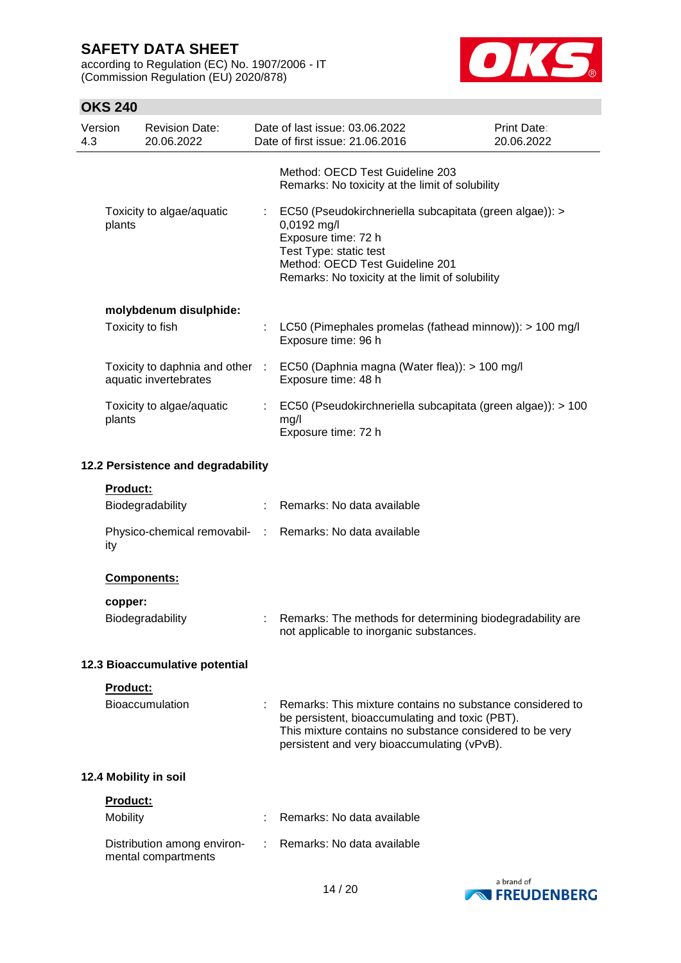according to Regulation (EC) No. 1907/2006 - IT (Commission Regulation (EU) 2020/878)



| Version<br>4.3 |          | <b>Revision Date:</b><br>20.06.2022                      | Date of last issue: 03.06.2022<br>Date of first issue: 21.06.2016                                                                                                                                                       | Print Date:<br>20.06.2022 |
|----------------|----------|----------------------------------------------------------|-------------------------------------------------------------------------------------------------------------------------------------------------------------------------------------------------------------------------|---------------------------|
|                |          |                                                          | Method: OECD Test Guideline 203<br>Remarks: No toxicity at the limit of solubility                                                                                                                                      |                           |
|                | plants   | Toxicity to algae/aquatic                                | EC50 (Pseudokirchneriella subcapitata (green algae)): ><br>0,0192 mg/l<br>Exposure time: 72 h<br>Test Type: static test<br>Method: OECD Test Guideline 201<br>Remarks: No toxicity at the limit of solubility           |                           |
|                |          | molybdenum disulphide:                                   |                                                                                                                                                                                                                         |                           |
|                |          | Toxicity to fish                                         | LC50 (Pimephales promelas (fathead minnow)): > 100 mg/l<br>Exposure time: 96 h                                                                                                                                          |                           |
|                |          | Toxicity to daphnia and other :<br>aquatic invertebrates | EC50 (Daphnia magna (Water flea)): > 100 mg/l<br>Exposure time: 48 h                                                                                                                                                    |                           |
|                | plants   | Toxicity to algae/aquatic                                | EC50 (Pseudokirchneriella subcapitata (green algae)): > 100<br>mg/l<br>Exposure time: 72 h                                                                                                                              |                           |
|                |          | 12.2 Persistence and degradability                       |                                                                                                                                                                                                                         |                           |
|                | Product: | Biodegradability                                         | : Remarks: No data available                                                                                                                                                                                            |                           |
|                | ity      |                                                          | Physico-chemical removabil- : Remarks: No data available                                                                                                                                                                |                           |
|                |          | <b>Components:</b>                                       |                                                                                                                                                                                                                         |                           |
|                | copper:  | Biodegradability                                         | Remarks: The methods for determining biodegradability are<br>not applicable to inorganic substances.                                                                                                                    |                           |
|                |          | 12.3 Bioaccumulative potential                           |                                                                                                                                                                                                                         |                           |
|                | Product: | Bioaccumulation                                          | Remarks: This mixture contains no substance considered to<br>be persistent, bioaccumulating and toxic (PBT).<br>This mixture contains no substance considered to be very<br>persistent and very bioaccumulating (vPvB). |                           |
|                |          | 12.4 Mobility in soil                                    |                                                                                                                                                                                                                         |                           |
|                | Product: |                                                          |                                                                                                                                                                                                                         |                           |
|                | Mobility |                                                          | Remarks: No data available                                                                                                                                                                                              |                           |
|                |          | Distribution among environ-<br>mental compartments       | Remarks: No data available                                                                                                                                                                                              |                           |
|                |          |                                                          |                                                                                                                                                                                                                         |                           |

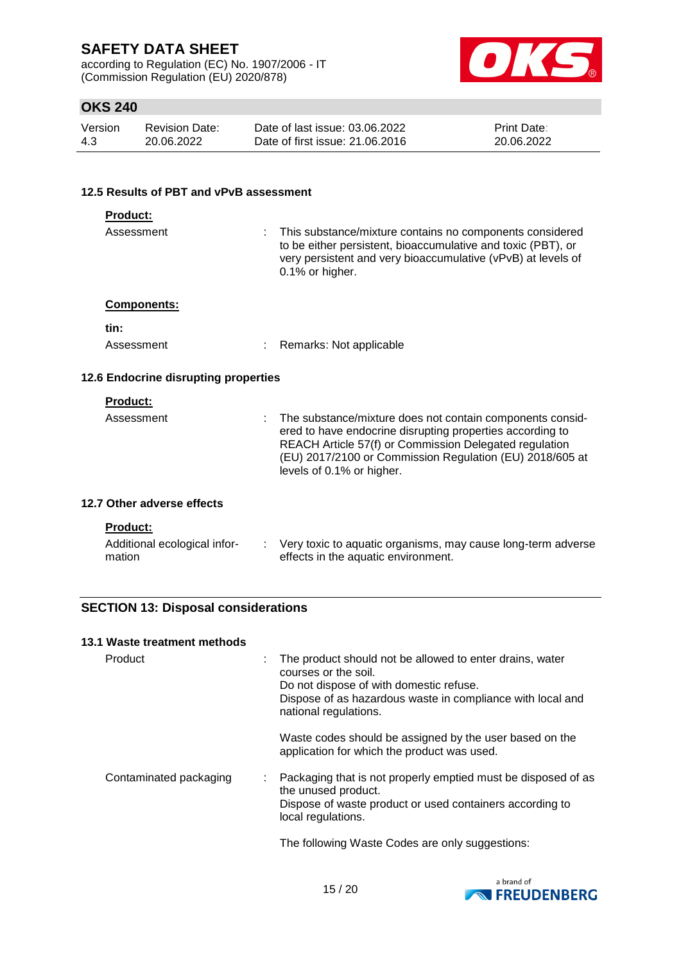according to Regulation (EC) No. 1907/2006 - IT (Commission Regulation (EU) 2020/878)



# **OKS 240**

| Version | Revision Date: | Date of last issue: 03.06.2022  | <b>Print Date:</b> |
|---------|----------------|---------------------------------|--------------------|
| 4.3     | 20.06.2022     | Date of first issue: 21,06,2016 | 20.06.2022         |

#### **12.5 Results of PBT and vPvB assessment**

| <b>Product:</b>                        |   |                                                                                                                                                                                                                                                                           |  |  |
|----------------------------------------|---|---------------------------------------------------------------------------------------------------------------------------------------------------------------------------------------------------------------------------------------------------------------------------|--|--|
| Assessment                             | ÷ | This substance/mixture contains no components considered<br>to be either persistent, bioaccumulative and toxic (PBT), or<br>very persistent and very bioaccumulative (vPvB) at levels of<br>0.1% or higher.                                                               |  |  |
| <b>Components:</b>                     |   |                                                                                                                                                                                                                                                                           |  |  |
| tin:                                   |   |                                                                                                                                                                                                                                                                           |  |  |
| Assessment                             |   | Remarks: Not applicable                                                                                                                                                                                                                                                   |  |  |
| 12.6 Endocrine disrupting properties   |   |                                                                                                                                                                                                                                                                           |  |  |
| <b>Product:</b>                        |   |                                                                                                                                                                                                                                                                           |  |  |
| Assessment                             |   | The substance/mixture does not contain components consid-<br>ered to have endocrine disrupting properties according to<br>REACH Article 57(f) or Commission Delegated regulation<br>(EU) 2017/2100 or Commission Regulation (EU) 2018/605 at<br>levels of 0.1% or higher. |  |  |
| 12.7 Other adverse effects             |   |                                                                                                                                                                                                                                                                           |  |  |
| <b>Product:</b>                        |   |                                                                                                                                                                                                                                                                           |  |  |
| Additional ecological infor-<br>mation |   | : Very toxic to aquatic organisms, may cause long-term adverse<br>effects in the aquatic environment.                                                                                                                                                                     |  |  |
|                                        |   |                                                                                                                                                                                                                                                                           |  |  |

# **SECTION 13: Disposal considerations**

### **13.1 Waste treatment methods**

| Product                | The product should not be allowed to enter drains, water<br>courses or the soil.<br>Do not dispose of with domestic refuse.<br>Dispose of as hazardous waste in compliance with local and<br>national regulations. |
|------------------------|--------------------------------------------------------------------------------------------------------------------------------------------------------------------------------------------------------------------|
|                        | Waste codes should be assigned by the user based on the<br>application for which the product was used.                                                                                                             |
| Contaminated packaging | Packaging that is not properly emptied must be disposed of as<br>the unused product.<br>Dispose of waste product or used containers according to<br>local regulations.                                             |
|                        | The following Waste Codes are only suggestions:                                                                                                                                                                    |

te Codes are only sugg

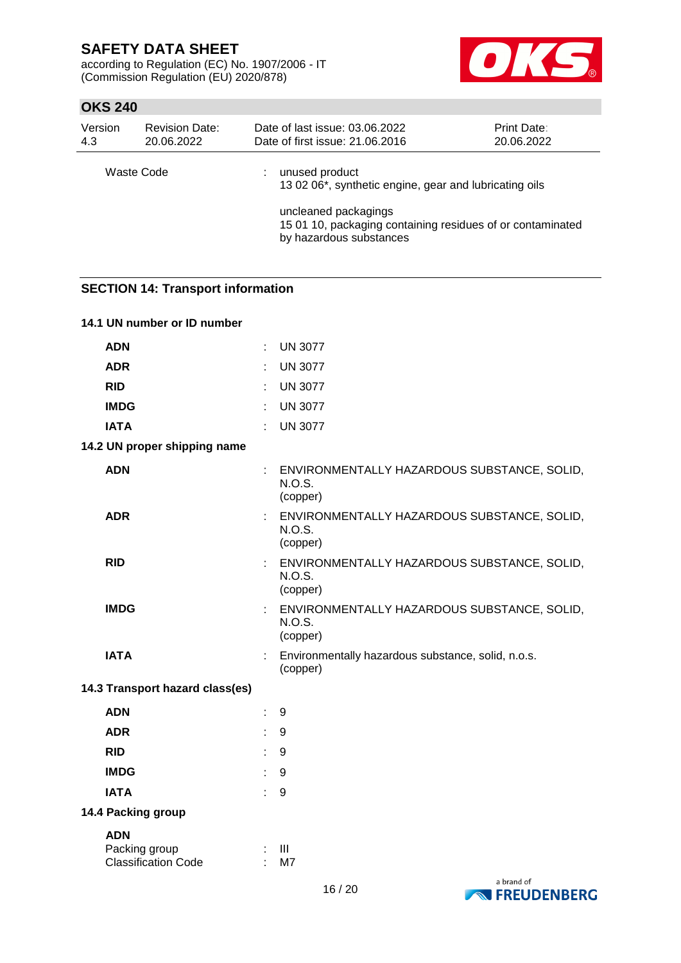according to Regulation (EC) No. 1907/2006 - IT (Commission Regulation (EU) 2020/878)



# **OKS 240**

| Version | <b>Revision Date:</b> | Date of last issue: 03.06.2022                                                                                                                                                            | <b>Print Date:</b> |
|---------|-----------------------|-------------------------------------------------------------------------------------------------------------------------------------------------------------------------------------------|--------------------|
| 4.3     | 20.06.2022            | Date of first issue: 21.06.2016                                                                                                                                                           | 20.06.2022         |
|         | Waste Code            | unused product<br>13 02 06*, synthetic engine, gear and lubricating oils<br>uncleaned packagings<br>15 01 10, packaging containing residues of or contaminated<br>by hazardous substances |                    |

### **SECTION 14: Transport information**

| 14.1 UN number or ID number                               |                                                                          |
|-----------------------------------------------------------|--------------------------------------------------------------------------|
| <b>ADN</b>                                                | <b>UN 3077</b><br>÷                                                      |
| <b>ADR</b>                                                | <b>UN 3077</b><br>t,                                                     |
| <b>RID</b>                                                | <b>UN 3077</b><br>÷                                                      |
| <b>IMDG</b>                                               | <b>UN 3077</b><br>÷                                                      |
| <b>IATA</b>                                               | <b>UN 3077</b><br>÷                                                      |
| 14.2 UN proper shipping name                              |                                                                          |
| <b>ADN</b>                                                | ENVIRONMENTALLY HAZARDOUS SUBSTANCE, SOLID,<br><b>N.O.S.</b><br>(copper) |
| <b>ADR</b>                                                | : ENVIRONMENTALLY HAZARDOUS SUBSTANCE, SOLID,<br>N.O.S.<br>(copper)      |
| <b>RID</b>                                                | : ENVIRONMENTALLY HAZARDOUS SUBSTANCE, SOLID,<br>N.O.S.<br>(copper)      |
| <b>IMDG</b>                                               | : ENVIRONMENTALLY HAZARDOUS SUBSTANCE, SOLID,<br>N.O.S.<br>(copper)      |
| <b>IATA</b>                                               | Environmentally hazardous substance, solid, n.o.s.<br>(copper)           |
| 14.3 Transport hazard class(es)                           |                                                                          |
| <b>ADN</b>                                                | 9<br>÷                                                                   |
| <b>ADR</b>                                                | ÷<br>9                                                                   |
| <b>RID</b>                                                | 9<br>÷                                                                   |
| <b>IMDG</b>                                               | 9                                                                        |
| <b>IATA</b>                                               | 9<br>÷                                                                   |
| 14.4 Packing group                                        |                                                                          |
| <b>ADN</b><br>Packing group<br><b>Classification Code</b> | Ш<br>M7                                                                  |

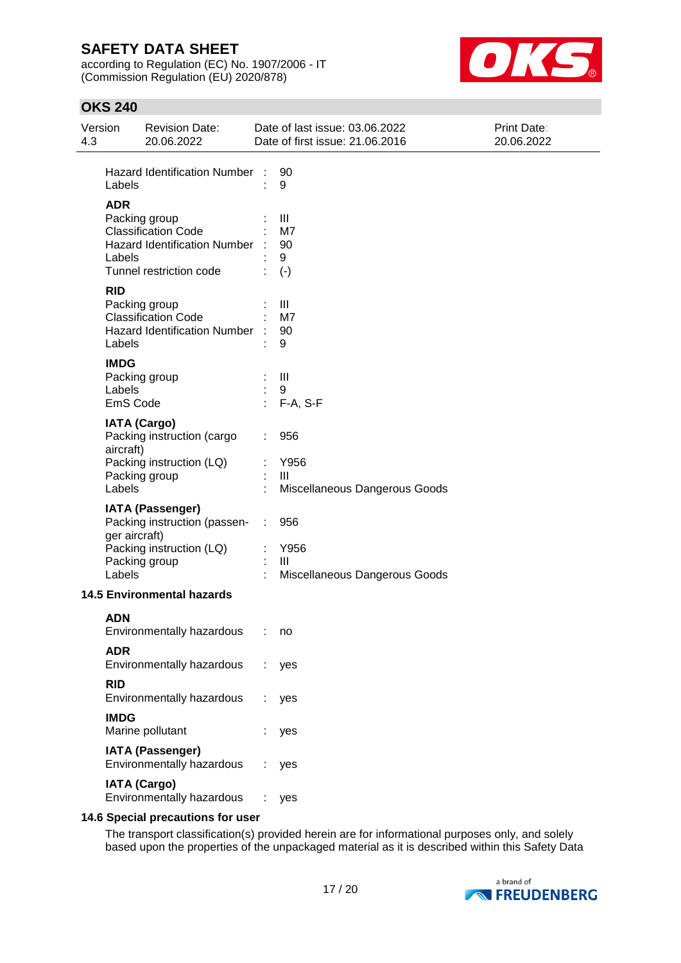according to Regulation (EC) No. 1907/2006 - IT (Commission Regulation (EU) 2020/878)



# **OKS 240**

| 4.3 | Version                           | <b>Revision Date:</b><br>20.06.2022                                                                      | Date of last issue: 03.06.2022<br>Date of first issue: 21.06.2016 |                                                                | Print Date:<br>20.06.2022 |  |
|-----|-----------------------------------|----------------------------------------------------------------------------------------------------------|-------------------------------------------------------------------|----------------------------------------------------------------|---------------------------|--|
|     | Labels                            | Hazard Identification Number :                                                                           |                                                                   | 90<br>9                                                        |                           |  |
|     | <b>ADR</b><br>Labels              | Packing group<br><b>Classification Code</b><br>Hazard Identification Number :<br>Tunnel restriction code |                                                                   | Ш<br>M7<br>90<br>9<br>$(-)$                                    |                           |  |
|     | <b>RID</b><br>Labels              | Packing group<br><b>Classification Code</b><br><b>Hazard Identification Number</b>                       |                                                                   | Ш<br>M7<br>90<br>9                                             |                           |  |
|     | <b>IMDG</b><br>Labels<br>EmS Code | Packing group                                                                                            | ×,                                                                | $\mathbf{III}$<br>9<br>F-A, S-F                                |                           |  |
|     | aircraft)<br>Labels               | <b>IATA (Cargo)</b><br>Packing instruction (cargo<br>Packing instruction (LQ)<br>Packing group           |                                                                   | 956<br>Y956<br>Ш<br>Miscellaneous Dangerous Goods              |                           |  |
|     | ger aircraft)<br>Labels           | <b>IATA (Passenger)</b><br>Packing instruction (passen-<br>Packing instruction (LQ)<br>Packing group     | ÷                                                                 | 956<br>Y956<br>$\mathbf{III}$<br>Miscellaneous Dangerous Goods |                           |  |
|     |                                   | <b>14.5 Environmental hazards</b>                                                                        |                                                                   |                                                                |                           |  |
|     | <b>ADN</b>                        | Environmentally hazardous                                                                                |                                                                   | : no                                                           |                           |  |
|     | <b>ADR</b>                        | Environmentally hazardous                                                                                |                                                                   | yes                                                            |                           |  |
|     | <b>RID</b>                        | Environmentally hazardous                                                                                |                                                                   | yes                                                            |                           |  |
|     | <b>IMDG</b>                       | Marine pollutant                                                                                         |                                                                   | yes                                                            |                           |  |
|     |                                   | <b>IATA (Passenger)</b><br>Environmentally hazardous                                                     |                                                                   | yes                                                            |                           |  |
|     |                                   | <b>IATA (Cargo)</b><br>Environmentally hazardous                                                         |                                                                   | yes                                                            |                           |  |

### **14.6 Special precautions for user**

The transport classification(s) provided herein are for informational purposes only, and solely based upon the properties of the unpackaged material as it is described within this Safety Data

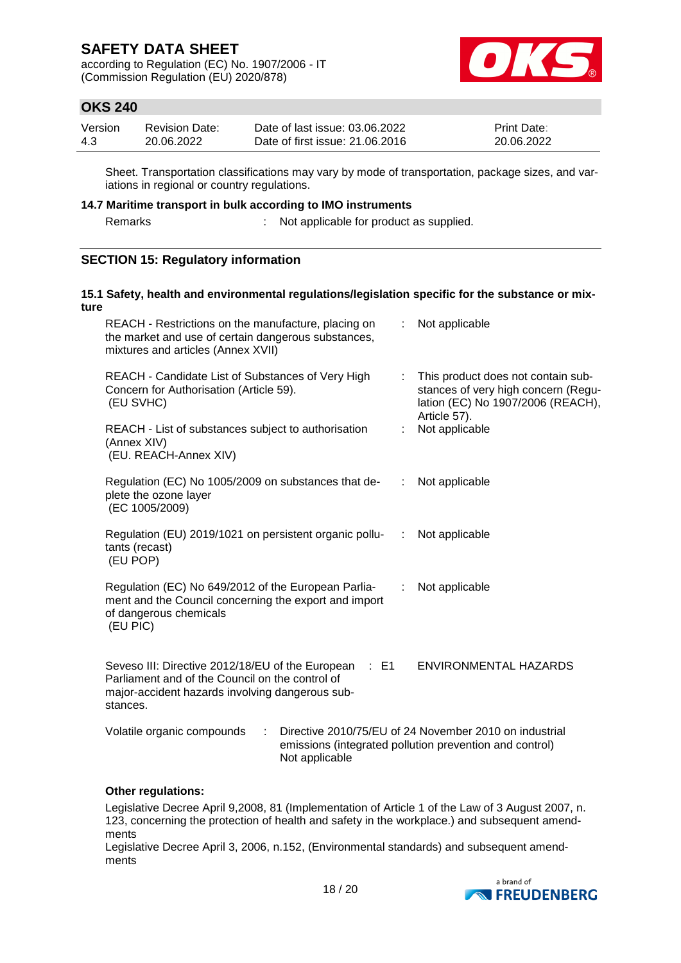according to Regulation (EC) No. 1907/2006 - IT (Commission Regulation (EU) 2020/878)



## **OKS 240**

| Version | Revision Date: | Date of last issue: 03.06.2022  | <b>Print Date:</b> |
|---------|----------------|---------------------------------|--------------------|
| 4.3     | 20.06.2022     | Date of first issue: 21,06,2016 | 20.06.2022         |

Sheet. Transportation classifications may vary by mode of transportation, package sizes, and variations in regional or country regulations.

#### **14.7 Maritime transport in bulk according to IMO instruments**

Remarks : Not applicable for product as supplied.

## **SECTION 15: Regulatory information**

#### **15.1 Safety, health and environmental regulations/legislation specific for the substance or mixture** REACH - Restrictions on the manufacture, placing on the market and use of certain dangerous substances, mixtures and articles (Annex XVII) : Not applicable REACH - Candidate List of Substances of Very High Concern for Authorisation (Article 59). (EU SVHC) : This product does not contain substances of very high concern (Regulation (EC) No 1907/2006 (REACH), Article 57). REACH - List of substances subject to authorisation (Annex XIV) (EU. REACH-Annex XIV) : Not applicable Regulation (EC) No 1005/2009 on substances that deplete the ozone layer (EC 1005/2009) : Not applicable Regulation (EU) 2019/1021 on persistent organic pollutants (recast) (EU POP) : Not applicable Regulation (EC) No 649/2012 of the European Parliament and the Council concerning the export and import of dangerous chemicals (EU PIC) : Not applicable Seveso III: Directive 2012/18/EU of the European : E1 Parliament and of the Council on the control of major-accident hazards involving dangerous substances. ENVIRONMENTAL HAZARDS Volatile organic compounds : Directive 2010/75/EU of 24 November 2010 on industrial emissions (integrated pollution prevention and control) Not applicable

### **Other regulations:**

Legislative Decree April 9,2008, 81 (Implementation of Article 1 of the Law of 3 August 2007, n. 123, concerning the protection of health and safety in the workplace.) and subsequent amendments

Legislative Decree April 3, 2006, n.152, (Environmental standards) and subsequent amendments

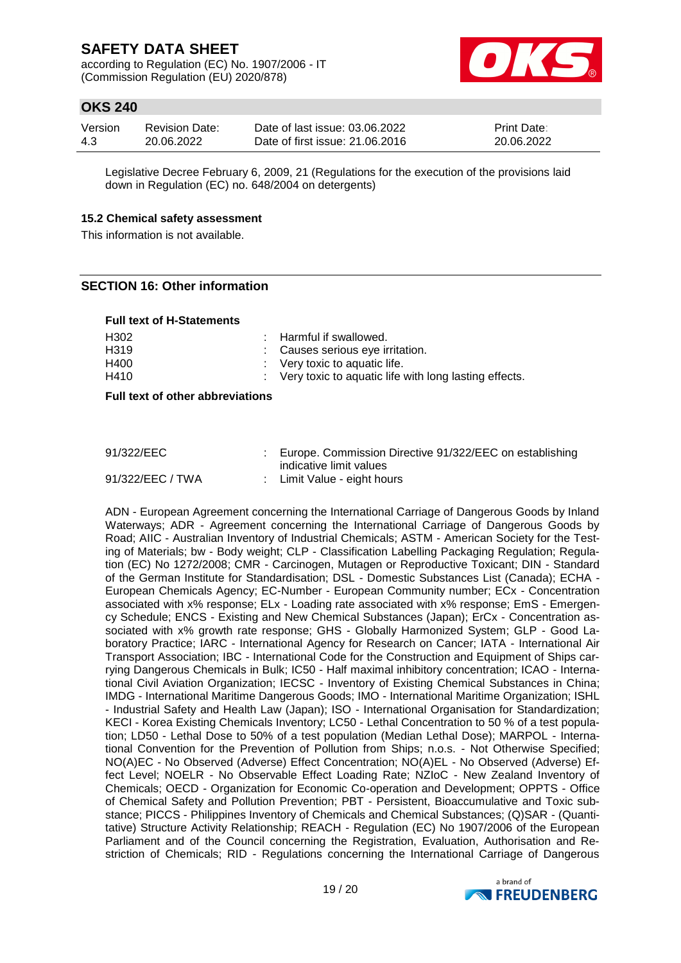according to Regulation (EC) No. 1907/2006 - IT (Commission Regulation (EU) 2020/878)



## **OKS 240**

| Version | <b>Revision Date:</b> | Date of last issue: 03.06.2022  | <b>Print Date:</b> |
|---------|-----------------------|---------------------------------|--------------------|
| 4.3     | 20.06.2022            | Date of first issue: 21,06,2016 | 20.06.2022         |

Legislative Decree February 6, 2009, 21 (Regulations for the execution of the provisions laid down in Regulation (EC) no. 648/2004 on detergents)

#### **15.2 Chemical safety assessment**

This information is not available.

### **SECTION 16: Other information**

#### **Full text of H-Statements**

| H302              | : Harmful if swallowed.                                 |
|-------------------|---------------------------------------------------------|
| H <sub>3</sub> 19 | : Causes serious eye irritation.                        |
| H400              | $\therefore$ Very toxic to aquatic life.                |
| H410              | : Very toxic to aguatic life with long lasting effects. |

**Full text of other abbreviations**

| 91/322/EEC       | : Europe. Commission Directive 91/322/EEC on establishing |
|------------------|-----------------------------------------------------------|
|                  | indicative limit values                                   |
| 91/322/EEC / TWA | : Limit Value - eight hours                               |

ADN - European Agreement concerning the International Carriage of Dangerous Goods by Inland Waterways; ADR - Agreement concerning the International Carriage of Dangerous Goods by Road; AIIC - Australian Inventory of Industrial Chemicals; ASTM - American Society for the Testing of Materials; bw - Body weight; CLP - Classification Labelling Packaging Regulation; Regulation (EC) No 1272/2008; CMR - Carcinogen, Mutagen or Reproductive Toxicant; DIN - Standard of the German Institute for Standardisation; DSL - Domestic Substances List (Canada); ECHA - European Chemicals Agency; EC-Number - European Community number; ECx - Concentration associated with x% response; ELx - Loading rate associated with x% response; EmS - Emergency Schedule; ENCS - Existing and New Chemical Substances (Japan); ErCx - Concentration associated with x% growth rate response; GHS - Globally Harmonized System; GLP - Good Laboratory Practice; IARC - International Agency for Research on Cancer; IATA - International Air Transport Association; IBC - International Code for the Construction and Equipment of Ships carrying Dangerous Chemicals in Bulk; IC50 - Half maximal inhibitory concentration; ICAO - International Civil Aviation Organization; IECSC - Inventory of Existing Chemical Substances in China; IMDG - International Maritime Dangerous Goods; IMO - International Maritime Organization; ISHL - Industrial Safety and Health Law (Japan); ISO - International Organisation for Standardization; KECI - Korea Existing Chemicals Inventory; LC50 - Lethal Concentration to 50 % of a test population; LD50 - Lethal Dose to 50% of a test population (Median Lethal Dose); MARPOL - International Convention for the Prevention of Pollution from Ships; n.o.s. - Not Otherwise Specified; NO(A)EC - No Observed (Adverse) Effect Concentration; NO(A)EL - No Observed (Adverse) Effect Level; NOELR - No Observable Effect Loading Rate; NZIoC - New Zealand Inventory of Chemicals; OECD - Organization for Economic Co-operation and Development; OPPTS - Office of Chemical Safety and Pollution Prevention; PBT - Persistent, Bioaccumulative and Toxic substance; PICCS - Philippines Inventory of Chemicals and Chemical Substances; (Q)SAR - (Quantitative) Structure Activity Relationship; REACH - Regulation (EC) No 1907/2006 of the European Parliament and of the Council concerning the Registration, Evaluation, Authorisation and Restriction of Chemicals; RID - Regulations concerning the International Carriage of Dangerous